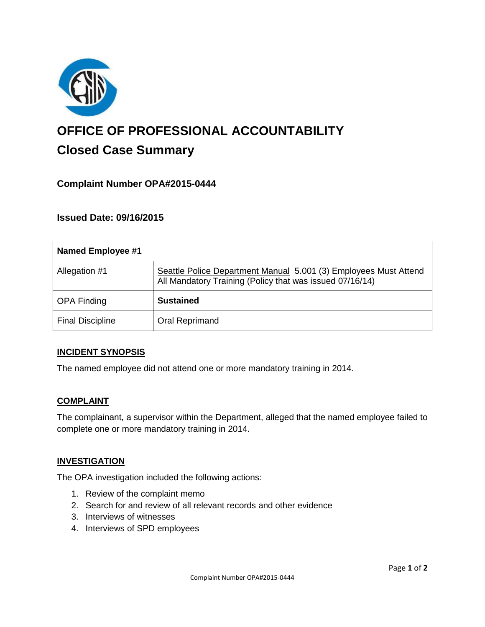

# **OFFICE OF PROFESSIONAL ACCOUNTABILITY Closed Case Summary**

# **Complaint Number OPA#2015-0444**

## **Issued Date: 09/16/2015**

| <b>Named Employee #1</b> |                                                                                                                              |
|--------------------------|------------------------------------------------------------------------------------------------------------------------------|
| Allegation #1            | Seattle Police Department Manual 5.001 (3) Employees Must Attend<br>All Mandatory Training (Policy that was issued 07/16/14) |
| <b>OPA Finding</b>       | <b>Sustained</b>                                                                                                             |
| <b>Final Discipline</b>  | Oral Reprimand                                                                                                               |

#### **INCIDENT SYNOPSIS**

The named employee did not attend one or more mandatory training in 2014.

#### **COMPLAINT**

The complainant, a supervisor within the Department, alleged that the named employee failed to complete one or more mandatory training in 2014.

#### **INVESTIGATION**

The OPA investigation included the following actions:

- 1. Review of the complaint memo
- 2. Search for and review of all relevant records and other evidence
- 3. Interviews of witnesses
- 4. Interviews of SPD employees